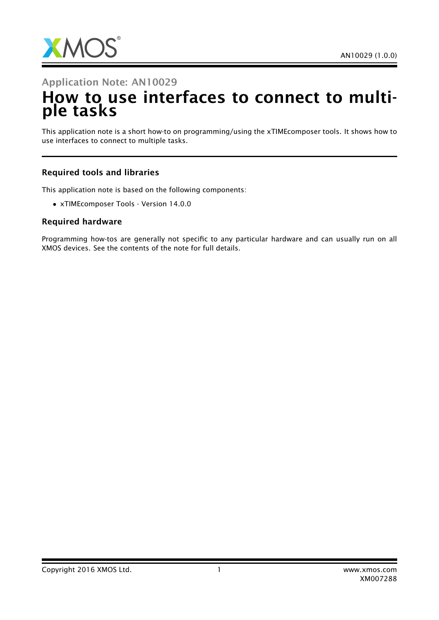

# Application Note: AN10029 How to use interfaces to connect to multiple tasks

This application note is a short how-to on programming/using the xTIMEcomposer tools. It shows how to use interfaces to connect to multiple tasks.

#### Required tools and libraries

This application note is based on the following components:

• xTIMEcomposer Tools - Version 14.0.0

#### Required hardware

Programming how-tos are generally not specific to any particular hardware and can usually run on all XMOS devices. See the contents of the note for full details.